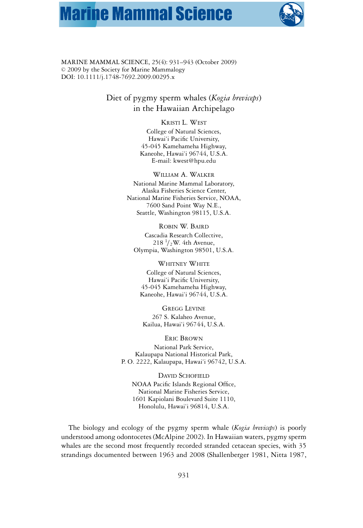# **Marine Mammal Science**



MARINE MAMMAL SCIENCE, 25(4): 931–943 (October 2009)  $© 2009$  by the Society for Marine Mammalogy DOI: 10.1111/j.1748-7692.2009.00295.x

> Diet of pygmy sperm whales (*Kogia breviceps*) in the Hawaiian Archipelago

#### KRISTI L. WEST

College of Natural Sciences, Hawai'i Pacific University, 45-045 Kamehameha Highway, Kaneohe, Hawai'i 96744, U.S.A. E-mail: kwest@hpu.edu

WILLIAM A. WALKER National Marine Mammal Laboratory, Alaska Fisheries Science Center, National Marine Fisheries Service, NOAA, 7600 Sand Point Way N.E., Seattle, Washington 98115, U.S.A.

ROBIN W. BAIRD Cascadia Research Collective, 218  $\frac{1}{2}$ W. 4th Avenue, Olympia, Washington 98501, U.S.A.

WHITNEY WHITE College of Natural Sciences, Hawai'i Pacific University, 45-045 Kamehameha Highway, Kaneohe, Hawai'i 96744, U.S.A.

GREGG LEVINE 267 S. Kalaheo Avenue, Kailua, Hawai'i 96744, U.S.A.

ERIC BROWN National Park Service, Kalaupapa National Historical Park, P. O. 2222, Kalaupapa, Hawai'i 96742, U.S.A.

DAVID SCHOFIELD NOAA Pacific Islands Regional Office, National Marine Fisheries Service, 1601 Kapiolani Boulevard Suite 1110, Honolulu, Hawai'i 96814, U.S.A.

The biology and ecology of the pygmy sperm whale (*Kogia breviceps*) is poorly understood among odontocetes (McAlpine 2002). In Hawaiian waters, pygmy sperm whales are the second most frequently recorded stranded cetacean species, with 35 strandings documented between 1963 and 2008 (Shallenberger 1981, Nitta 1987,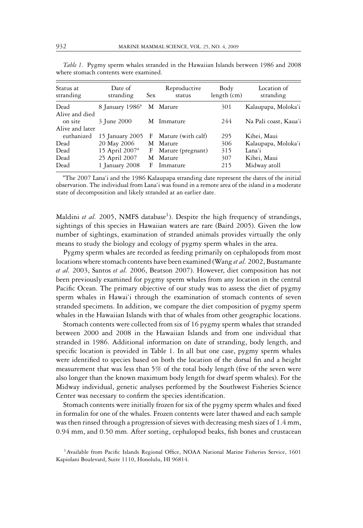| Status at<br>stranding                       | Date of<br>stranding        | <b>Sex</b> | Reproductive<br>status | Body<br>length (cm) | Location of<br>stranding |
|----------------------------------------------|-----------------------------|------------|------------------------|---------------------|--------------------------|
| Dead                                         | 8 January 1986 <sup>a</sup> |            | M Mature               | 301                 | Kalaupapa, Moloka'i      |
| Alive and died<br>on site<br>Alive and later | 3 June 2000                 |            | M Immature             | 244                 | Na Pali coast, Kaua'i    |
| euthanized                                   | 15 January 2005             | F          | Mature (with calf)     | 295                 | Kihei, Maui              |
| Dead                                         | 20 May 2006                 |            | M Mature               | 306                 | Kalaupapa, Moloka'i      |
| Dead                                         | 15 April $2007a$            | F          | Mature (pregnant)      | 315                 | Lana'i                   |
| Dead                                         | 25 April 2007               | М          | Mature                 | 307                 | Kihei, Maui              |
| Dead                                         | 1 January 2008              | F          | Immature               | 215                 | Midway atoll             |

*Table 1.* Pygmy sperm whales stranded in the Hawaiian Islands between 1986 and 2008 where stomach contents were examined.

<sup>a</sup>The 2007 Lana'i and the 1986 Kalaupapa stranding date represent the dates of the initial observation. The individual from Lana'i was found in a remote area of the island in a moderate state of decomposition and likely stranded at an earlier date.

Maldini *et al.* 2005, NMFS database<sup>1</sup>). Despite the high frequency of strandings, sightings of this species in Hawaiian waters are rare (Baird 2005). Given the low number of sightings, examination of stranded animals provides virtually the only means to study the biology and ecology of pygmy sperm whales in the area.

Pygmy sperm whales are recorded as feeding primarily on cephalopods from most locations where stomach contents have been examined (Wang *et al.* 2002, Bustamante *et al.* 2003, Santos *et al.* 2006, Beatson 2007). However, diet composition has not been previously examined for pygmy sperm whales from any location in the central Pacific Ocean. The primary objective of our study was to assess the diet of pygmy sperm whales in Hawai'i through the examination of stomach contents of seven stranded specimens. In addition, we compare the diet composition of pygmy sperm whales in the Hawaiian Islands with that of whales from other geographic locations.

Stomach contents were collected from six of 16 pygmy sperm whales that stranded between 2000 and 2008 in the Hawaiian Islands and from one individual that stranded in 1986. Additional information on date of stranding, body length, and specific location is provided in Table 1. In all but one case, pygmy sperm whales were identified to species based on both the location of the dorsal fin and a height measurement that was less than 5% of the total body length (five of the seven were also longer than the known maximum body length for dwarf sperm whales). For the Midway individual, genetic analyses performed by the Southwest Fisheries Science Center was necessary to confirm the species identification.

Stomach contents were initially frozen for six of the pygmy sperm whales and fixed in formalin for one of the whales. Frozen contents were later thawed and each sample was then rinsed through a progression of sieves with decreasing mesh sizes of 1.4 mm, 0.94 mm, and 0.50 mm. After sorting, cephalopod beaks, fish bones and crustacean

<sup>&</sup>lt;sup>1</sup> Available from Pacific Islands Regional Office, NOAA National Marine Fisheries Service, 1601 Kapiolani Boulevard, Suite 1110, Honolulu, HI 96814.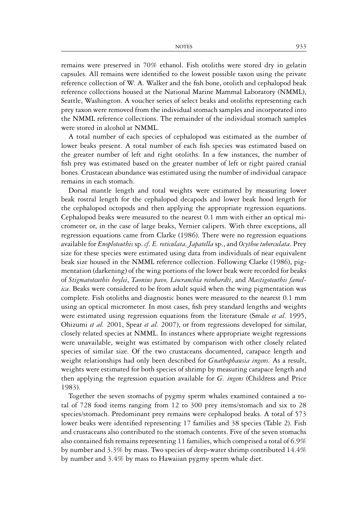remains were preserved in 70% ethanol. Fish otoliths were stored dry in gelatin capsules. All remains were identified to the lowest possible taxon using the private reference collection of W. A. Walker and the fish bone, otolith and cephalopod beak reference collections housed at the National Marine Mammal Laboratory (NMML), Seattle, Washington. A voucher series of select beaks and otoliths representing each prey taxon were removed from the individual stomach samples and incorporated into the NMML reference collections. The remainder of the individual stomach samples were stored in alcohol at NMML.

A total number of each species of cephalopod was estimated as the number of lower beaks present. A total number of each fish species was estimated based on the greater number of left and right otoliths. In a few instances, the number of fish prey was estimated based on the greater number of left or right paired cranial bones. Crustacean abundance was estimated using the number of individual carapace remains in each stomach.

Dorsal mantle length and total weights were estimated by measuring lower beak rostral length for the cephalopod decapods and lower beak hood length for the cephalopod octopods and then applying the appropriate regression equations. Cephalopod beaks were measured to the nearest 0.1 mm with either an optical micrometer or, in the case of large beaks, Vernier calipers. With three exceptions, all regression equations came from Clarke (1986). There were no regression equations available for *Enoploteuthis* sp. *cf. E. reticulata, Japatella* sp., and *Ocythoe tuberculata*. Prey size for these species were estimated using data from individuals of near equivalent beak size housed in the NMML reference collection. Following Clarke (1986), pigmentation (darkening) of the wing portions of the lower beak were recorded for beaks of *Stigmatoteuthis hoylei*, *Taonius pavo, Liocranchia reinhardti*, and *Mastigoteuthis famelica*. Beaks were considered to be from adult squid when the wing pigmentation was complete. Fish otoliths and diagnostic bones were measured to the nearest 0.1 mm using an optical micrometer. In most cases, fish prey standard lengths and weights were estimated using regression equations from the literature (Smale *et al.* 1995, Ohizumi *et al.* 2001, Spear *et al.* 2007), or from regressions developed for similar, closely related species at NMML. In instances where appropriate weight regressions were unavailable, weight was estimated by comparison with other closely related species of similar size. Of the two crustaceans documented, carapace length and weight relationships had only been described for *Gnathophausia ingens.* As a result, weights were estimated for both species of shrimp by measuring carapace length and then applying the regression equation available for *G. ingens* (Childress and Price 1983).

Together the seven stomachs of pygmy sperm whales examined contained a total of 728 food items ranging from 12 to 300 prey items/stomach and six to 28 species/stomach. Predominant prey remains were cephalopod beaks. A total of 573 lower beaks were identified representing 17 families and 38 species (Table 2). Fish and crustaceans also contributed to the stomach contents. Five of the seven stomachs also contained fish remains representing 11 families, which comprised a total of 6.9% by number and 3.3% by mass. Two species of deep-water shrimp contributed 14.4% by number and 3.4% by mass to Hawaiian pygmy sperm whale diet.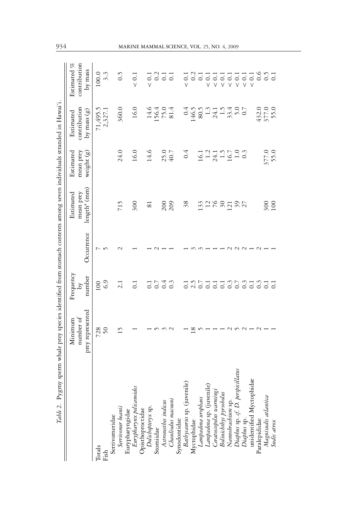| Table 2. Pygmy sperm whale prey species identified from stomach contents among seven individuals stranded in Hawai'i                                   |                                          |                           |            |                                                    |                                      |                                                                                        |                                        |
|--------------------------------------------------------------------------------------------------------------------------------------------------------|------------------------------------------|---------------------------|------------|----------------------------------------------------|--------------------------------------|----------------------------------------------------------------------------------------|----------------------------------------|
|                                                                                                                                                        | prey represented<br>number of<br>Minimum | Frequency<br>number<br>δY | Occurrence | length <sup>a</sup> (mm)<br>mean prey<br>Estimated | Estimated<br>mean prey<br>weight (g) | contribution<br>by mass $(g)$<br>Estimated                                             | Estimated %<br>contribution<br>by mass |
| Totals<br>Fish                                                                                                                                         | 728<br>50                                | 6.9<br>100                |            |                                                    |                                      | 71,495.5<br>2,327.1                                                                    | 100.0<br>3.3                           |
| Serrivomeridae                                                                                                                                         |                                          |                           |            |                                                    |                                      |                                                                                        |                                        |
| Serrivomer beanii                                                                                                                                      | $\overline{15}$                          | 2.1                       |            | 715                                                | 24.0                                 | 360.0                                                                                  | 0.5                                    |
|                                                                                                                                                        |                                          |                           |            |                                                    |                                      |                                                                                        |                                        |
| Eurypharyngidae<br>Eurypharynx pelicanoides<br>Opisthoproccidae<br>Dolichopteryx sp.<br>Stomiidae<br>Astronesthes indicus                              |                                          | $\overline{0}$ :          |            | 300                                                | 16.0                                 | 16.0                                                                                   | $< 0.1$                                |
|                                                                                                                                                        |                                          | $\overline{0}$ :          |            | $\overline{\mathrm{s}}$                            | 14.6                                 |                                                                                        | $< 0.1$                                |
|                                                                                                                                                        |                                          |                           |            |                                                    |                                      |                                                                                        |                                        |
|                                                                                                                                                        |                                          | 0.4                       |            | 200                                                | 25.0                                 | 14.6<br>156.4<br>151.4                                                                 | 0.2                                    |
| Chauliodus macouni                                                                                                                                     |                                          | $0.\overline{3}$          |            | 209                                                | 40.7                                 |                                                                                        | $\overline{0}$ .                       |
| Synodontidae                                                                                                                                           |                                          |                           |            |                                                    |                                      |                                                                                        |                                        |
| Bathysaurus sp. (juvenile)<br>Myctophidae                                                                                                              |                                          | $\overline{0}$ .          |            | 38                                                 | 0.4                                  |                                                                                        | $\sim 0.1$                             |
|                                                                                                                                                        | $\frac{8}{1}$                            |                           |            |                                                    |                                      |                                                                                        | $\sim$                                 |
| Lampadena urophaos<br>Lampadena sp. (juvenile)                                                                                                         |                                          | 2.5                       |            | 133                                                | $16.147$ $17.503$ $16.703$ $16.703$  | $146.5$ $26.5$ $24.14$ $27.43$ $28.5$ $29.5$ $29.5$ $29.5$ $29.5$ $29.5$ $29.5$ $29.5$ | $\overline{c}$                         |
|                                                                                                                                                        |                                          | $\overline{C}$            |            | $\frac{2}{76}$                                     |                                      |                                                                                        | $\overline{\circ}$<br>V                |
|                                                                                                                                                        |                                          | $\overline{C}$            |            |                                                    |                                      |                                                                                        | 5<br>$\vee$                            |
|                                                                                                                                                        |                                          | $\overline{0}$            |            | $\delta$                                           |                                      |                                                                                        | $\frac{1}{\sqrt{2}}$                   |
| Ceratoscopelus warmingi<br>Bolinichthys pyrosbolus<br>Namobrachium sp.<br>Diaphus sp. cf. D. perspicillatus<br>Diaphus sp.<br>unidentified Myctophidae |                                          | 0.7                       |            | 121                                                |                                      |                                                                                        | $\frac{1}{\sqrt{2}}$                   |
|                                                                                                                                                        |                                          |                           |            | $rac{2}{2}$                                        |                                      |                                                                                        | $\frac{1}{\sqrt{2}}$                   |
|                                                                                                                                                        |                                          | $\frac{3}{0.1}$           |            |                                                    |                                      |                                                                                        | $\frac{1}{\sqrt{2}}$                   |
|                                                                                                                                                        |                                          |                           |            |                                                    |                                      |                                                                                        | $< 0.1$                                |
| Paralepididae                                                                                                                                          |                                          | $\frac{3}{0.1}$           |            |                                                    |                                      | 432.0                                                                                  |                                        |
| Magnisudis atlantica<br>Sudis atrox                                                                                                                    |                                          |                           |            | $\frac{300}{100}$                                  | 377.0<br>55.0                        | 377.0<br>55.0                                                                          | 0.500000                               |
|                                                                                                                                                        |                                          | $\overline{0}$            |            |                                                    |                                      |                                                                                        |                                        |

## 934 MARINE MAMMAL SCIENCE, VOL. 25, NO. 4, 2009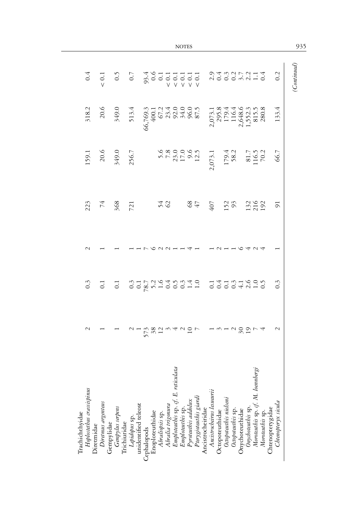|                                                            |                    |                                                                                          |                                                              |                                                                                                                                                                                           |                                                                                                                                                                                                                                                                                                                                                                    |    | <b>NOTES</b> |              |  |                                                                   |                                                                                                        |  |  |                   |                                         |                  | 935         |
|------------------------------------------------------------|--------------------|------------------------------------------------------------------------------------------|--------------------------------------------------------------|-------------------------------------------------------------------------------------------------------------------------------------------------------------------------------------------|--------------------------------------------------------------------------------------------------------------------------------------------------------------------------------------------------------------------------------------------------------------------------------------------------------------------------------------------------------------------|----|--------------|--------------|--|-------------------------------------------------------------------|--------------------------------------------------------------------------------------------------------|--|--|-------------------|-----------------------------------------|------------------|-------------|
| 0.4                                                        |                    | $\begin{array}{ccc}\n 1 & 5 & 5 \\  0 & 0 & 0 \\  0 & 0 & 0 \\  0 & 0 & 0\n \end{array}$ |                                                              |                                                                                                                                                                                           |                                                                                                                                                                                                                                                                                                                                                                    |    |              |              |  | ad conditions<br>2000 mais di                                     |                                                                                                        |  |  |                   |                                         | 0.2              | (Continued) |
| 318.2                                                      | 20.6               | 349.0                                                                                    | 513.4                                                        |                                                                                                                                                                                           |                                                                                                                                                                                                                                                                                                                                                                    |    |              |              |  |                                                                   |                                                                                                        |  |  |                   |                                         | 133.4            |             |
| 159.1                                                      |                    | $20.6$<br>$349.0$<br>$256.7$                                                             |                                                              |                                                                                                                                                                                           | $\begin{array}{cccc}\n5.6 \\ 5.73.0 \\ 7.35.0 \\ 7.53.0 \\ 9.6 \\ 1 & 0.7 \\ 1 & 0.7 \\ 1 & 0.7 \\ 1 & 0.7 \\ 1 & 0.7 \\ 1 & 0.7 \\ 1 & 0.7 \\ 1 & 0.7 \\ 1 & 0.7 \\ 1 & 0.7 \\ 1 & 0.7 \\ 1 & 0.7 \\ 1 & 0.7 \\ 1 & 0.7 \\ 1 & 0.7 \\ 1 & 0.7 \\ 1 & 0.7 \\ 1 & 0.7 \\ 1 & 0.7 \\ 1 & 0.7 \\ 1 & 0.7 \\ 1 & 0.7 \\ 1 & 0.7 \\ 1 & 0.7 \\ 1 & 0.7 \\ 1 & 0.7 \\ 1$ |    |              |              |  |                                                                   |                                                                                                        |  |  |                   |                                         | 66.7             |             |
| 223                                                        | $\overline{74}$    | 368<br>721                                                                               |                                                              |                                                                                                                                                                                           |                                                                                                                                                                                                                                                                                                                                                                    | 54 |              | $^{68}_{47}$ |  | 407                                                               | 152                                                                                                    |  |  | 132<br>216<br>192 |                                         | $\overline{5}$   |             |
|                                                            |                    |                                                                                          |                                                              |                                                                                                                                                                                           |                                                                                                                                                                                                                                                                                                                                                                    |    |              |              |  |                                                                   |                                                                                                        |  |  |                   |                                         |                  |             |
| $0.\overline{3}$                                           | $\overline{0}$ .   | $\overline{0}$                                                                           |                                                              |                                                                                                                                                                                           |                                                                                                                                                                                                                                                                                                                                                                    |    |              |              |  |                                                                   |                                                                                                        |  |  |                   |                                         | $0.\overline{3}$ |             |
|                                                            |                    |                                                                                          |                                                              |                                                                                                                                                                                           |                                                                                                                                                                                                                                                                                                                                                                    |    |              |              |  |                                                                   |                                                                                                        |  |  |                   |                                         | $\sim$           |             |
| Hoplostethus crassispinus<br>Diretmidae<br>Trachichthyidae | Diretmus argenteus | Gempylidae<br>Gempylus serpens                                                           | Trichiuridae<br><i>Lepidopus</i> sp.<br>unidentified teleost | Cephalopods<br>Enoploteuthidae<br>Abraliopsis sp.<br>Abralia trigonura<br>Abralia trigonura<br>Enoploteuthis sp.<br>Enoploteuthis addolux<br>Pyroteuthis addolux<br>Perygioteuthis giardi |                                                                                                                                                                                                                                                                                                                                                                    |    |              |              |  | Ancistrocheiridae<br>Ancistrocheirus lesueurii<br>Octopoteuthidae | Octopoteuthis nielseni<br>Octopoteuthis sp.<br>Onychoteuthis sp.<br>Onychoteuthis sp. cf. M. loembergi |  |  | Moroteuthis sp    | Chtenopterygidae<br>Chtenopteryx sicula |                  |             |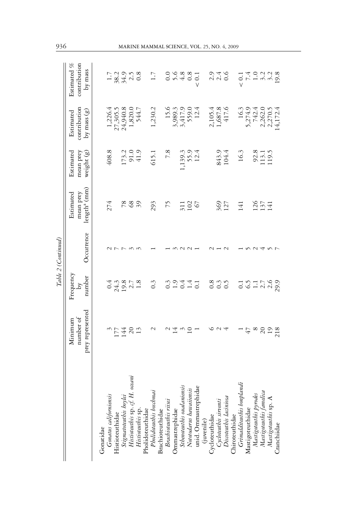|                                                                                                           |                                          |                                                | Table 2 (Continued) |                                                    |                                                       |                                             |                                        |
|-----------------------------------------------------------------------------------------------------------|------------------------------------------|------------------------------------------------|---------------------|----------------------------------------------------|-------------------------------------------------------|---------------------------------------------|----------------------------------------|
|                                                                                                           | prey represented<br>number of<br>Minimum | Frequency<br>number<br>$\overline{\mathsf{d}}$ | Occurrence          | length <sup>a</sup> (mm)<br>mean prey<br>Estimated | Estimated<br>mean prey<br>weight (g)                  | contribution<br>by mass $(g)$<br>Estimated  | contribution<br>Estimated %<br>by mass |
| Gonatidae                                                                                                 |                                          |                                                |                     |                                                    |                                                       |                                             |                                        |
|                                                                                                           |                                          |                                                |                     | 274                                                | 408.8                                                 | 1,226.4                                     |                                        |
| Gonatus californiensis<br>Histioteuthidae                                                                 |                                          |                                                | ペレレ                 |                                                    |                                                       | 27,305.5                                    |                                        |
|                                                                                                           | 0.74                                     | $04007$<br>$24907$                             |                     |                                                    |                                                       | 24,940.8                                    | $-384.2$<br>$-34.2$                    |
|                                                                                                           | $\overline{c}$                           |                                                | $\sim$              | 89                                                 | 173.2<br>91.9<br>41.9                                 |                                             |                                        |
| Stigmatoteuthis boylei<br>Histioteuthis sp. cf. H. oceani<br>Histioteuthis sp.<br>Pholidoteuthis boschmai | 13                                       | 1.8                                            | $\sim$              | 39                                                 |                                                       | 1,820.0<br>544.7                            | 0.8                                    |
|                                                                                                           |                                          |                                                |                     |                                                    |                                                       |                                             |                                        |
| Brachioteuthidae                                                                                          | $\sim$                                   | $0.\overline{3}$                               |                     | 293                                                | 615.1                                                 | 1,230.2                                     | 1.7                                    |
| Brachioteuthis riisei                                                                                     | $\sim$                                   | $0.\overline{3}$                               |                     | 75                                                 | $\frac{8}{2}$                                         |                                             |                                        |
| Ommastrephidae                                                                                            | $\overline{4}$                           |                                                |                     |                                                    |                                                       |                                             | 0.0 %<br>0.0 %                         |
| Sthenoteuthis oualaniensis<br>Nototodarus hawaiiensis                                                     | $\omega$                                 | $\frac{5}{1}$ .4                               | $\sim$ $\sim$       |                                                    | 1,139.3<br>55.9<br>12.4                               | 15.6<br>3,989.3<br>3,417.9<br>559.0<br>12.4 |                                        |
|                                                                                                           | $\overline{10}$                          | 1.4                                            |                     | 311<br>102                                         |                                                       |                                             | 0.8                                    |
| unid. Ommastrephidae                                                                                      |                                          | $\overline{0}$ :                               |                     | 67                                                 |                                                       |                                             | $\overline{0}$ .<br>V                  |
|                                                                                                           |                                          |                                                |                     |                                                    |                                                       |                                             |                                        |
| (juvenile)<br>Cycloteuthidae                                                                              |                                          |                                                |                     |                                                    |                                                       |                                             |                                        |
|                                                                                                           | $\sim$ 4                                 | $0.\overline{3}$                               |                     |                                                    | 843.9<br>104.4                                        | $2,105.4$<br>1,687.8<br>417.6               | 0, 4 9<br>0, 4 9<br>0                  |
| Cycloteuthis sirventi<br>Discoteuthis laciniosa                                                           |                                          | $\ddot{0}$                                     | $\mathbf{\sim}$     | 369<br>127                                         |                                                       |                                             |                                        |
|                                                                                                           |                                          |                                                |                     |                                                    |                                                       |                                             |                                        |
| Chiroteuthidae<br><i>Grimalditeuthis bonplandi</i>                                                        |                                          | $\overline{0}$ .                               |                     | 141                                                | 16.3                                                  |                                             | $< 0.1$                                |
| Mastigoteuthidae                                                                                          | 47                                       | 6.5                                            |                     |                                                    |                                                       | 16.3<br>5,274.9                             | 7.4                                    |
|                                                                                                           | $\infty$                                 | $\Xi$                                          | $\sim$              |                                                    |                                                       | 742.4                                       |                                        |
| Mastigoteuthis pyrodes<br>Mastigoteuthis famelica                                                         | $\overline{c}$                           |                                                | પ                   | 126<br>137<br>141                                  | $\begin{array}{c} 92.8 \\ 113.1 \\ 119.5 \end{array}$ | 2,262.0                                     |                                        |
| Mastigoteuthis sp. A                                                                                      |                                          | 239.7                                          | n r                 |                                                    |                                                       | 2,270.5<br>14,172.4                         | 223<br>233<br>29                       |
| Cranchiidae                                                                                               | $\frac{19}{218}$                         |                                                |                     |                                                    |                                                       |                                             |                                        |

### 936 MARINE MAMMAL SCIENCE, VOL. 25, NO. 4, 2009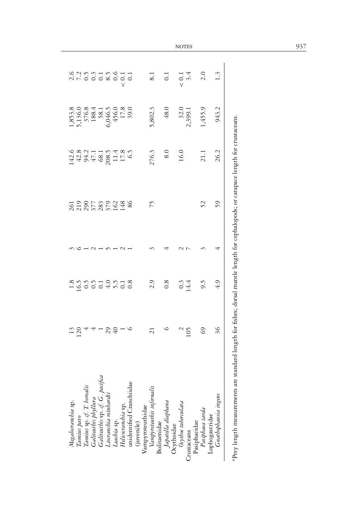| 5,802.3<br>1,455.9<br>943.2<br>1,853.8<br>5,136.0<br>6,046.5<br>6,046.5<br>6,046.5<br>7,0,0<br>7,0,0<br>7,0,0<br>48.0<br>32.0<br>2,399.1<br>276.3<br>26.2<br>8.0<br>1434468111865<br>4434568111265<br>16.0<br>21.1<br>52<br>59<br>75<br>86<br>2.9<br>0.8<br>9.5<br>4.9<br>$0.3$<br>14.4<br>36<br>S9<br>29<br>105<br>$\frac{13}{120}$<br>$\overline{c}$<br>unidentified Cranchiidae<br>Taonius sp. cf. T. borealis<br>Galiteuthis phyllura<br>Galiteuthis sp. cf. G. pacifi<br>Liocranchia reinhardti<br>Vampyroteuthis infernalis<br>Crustaceans<br>Pasiphaeidae<br>Pasiphaea tarda<br>Lophogastridae<br>Lophogastridae<br>Grathophausia ingens<br>Megalocranchia sp.<br>Taonius pavo<br>Japatella diaphana<br>Ocythoidae<br>Ocythoe tuberculata<br>Leachia sp.<br>Helicocranchia sp.<br>Vampyroteuthidae<br>(juvenile)<br>Bolitaenidae |  |  |  |                  |  |
|-----------------------------------------------------------------------------------------------------------------------------------------------------------------------------------------------------------------------------------------------------------------------------------------------------------------------------------------------------------------------------------------------------------------------------------------------------------------------------------------------------------------------------------------------------------------------------------------------------------------------------------------------------------------------------------------------------------------------------------------------------------------------------------------------------------------------------------------|--|--|--|------------------|--|
|                                                                                                                                                                                                                                                                                                                                                                                                                                                                                                                                                                                                                                                                                                                                                                                                                                         |  |  |  |                  |  |
|                                                                                                                                                                                                                                                                                                                                                                                                                                                                                                                                                                                                                                                                                                                                                                                                                                         |  |  |  |                  |  |
|                                                                                                                                                                                                                                                                                                                                                                                                                                                                                                                                                                                                                                                                                                                                                                                                                                         |  |  |  |                  |  |
|                                                                                                                                                                                                                                                                                                                                                                                                                                                                                                                                                                                                                                                                                                                                                                                                                                         |  |  |  |                  |  |
|                                                                                                                                                                                                                                                                                                                                                                                                                                                                                                                                                                                                                                                                                                                                                                                                                                         |  |  |  |                  |  |
|                                                                                                                                                                                                                                                                                                                                                                                                                                                                                                                                                                                                                                                                                                                                                                                                                                         |  |  |  |                  |  |
|                                                                                                                                                                                                                                                                                                                                                                                                                                                                                                                                                                                                                                                                                                                                                                                                                                         |  |  |  |                  |  |
|                                                                                                                                                                                                                                                                                                                                                                                                                                                                                                                                                                                                                                                                                                                                                                                                                                         |  |  |  |                  |  |
|                                                                                                                                                                                                                                                                                                                                                                                                                                                                                                                                                                                                                                                                                                                                                                                                                                         |  |  |  |                  |  |
|                                                                                                                                                                                                                                                                                                                                                                                                                                                                                                                                                                                                                                                                                                                                                                                                                                         |  |  |  |                  |  |
|                                                                                                                                                                                                                                                                                                                                                                                                                                                                                                                                                                                                                                                                                                                                                                                                                                         |  |  |  | $\overline{8.1}$ |  |
|                                                                                                                                                                                                                                                                                                                                                                                                                                                                                                                                                                                                                                                                                                                                                                                                                                         |  |  |  |                  |  |
|                                                                                                                                                                                                                                                                                                                                                                                                                                                                                                                                                                                                                                                                                                                                                                                                                                         |  |  |  | $\overline{c}$   |  |
|                                                                                                                                                                                                                                                                                                                                                                                                                                                                                                                                                                                                                                                                                                                                                                                                                                         |  |  |  |                  |  |
|                                                                                                                                                                                                                                                                                                                                                                                                                                                                                                                                                                                                                                                                                                                                                                                                                                         |  |  |  | $< 0.1$          |  |
|                                                                                                                                                                                                                                                                                                                                                                                                                                                                                                                                                                                                                                                                                                                                                                                                                                         |  |  |  | 3.4              |  |
|                                                                                                                                                                                                                                                                                                                                                                                                                                                                                                                                                                                                                                                                                                                                                                                                                                         |  |  |  |                  |  |
|                                                                                                                                                                                                                                                                                                                                                                                                                                                                                                                                                                                                                                                                                                                                                                                                                                         |  |  |  | 2.0              |  |
|                                                                                                                                                                                                                                                                                                                                                                                                                                                                                                                                                                                                                                                                                                                                                                                                                                         |  |  |  |                  |  |
|                                                                                                                                                                                                                                                                                                                                                                                                                                                                                                                                                                                                                                                                                                                                                                                                                                         |  |  |  | $1.\overline{3}$ |  |
| are standard length for fishes; dorsal mantle length for cephalopods; or carapace length for crustaceans.<br>aPrey length measurements                                                                                                                                                                                                                                                                                                                                                                                                                                                                                                                                                                                                                                                                                                  |  |  |  |                  |  |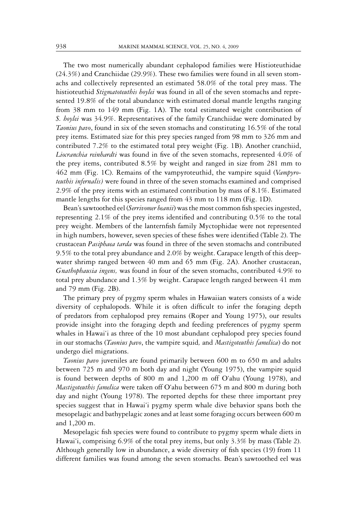The two most numerically abundant cephalopod families were Histioteuthidae (24.3%) and Cranchiidae (29.9%). These two families were found in all seven stomachs and collectively represented an estimated 58.0% of the total prey mass. The histioteuthid *Stigmatoteuthis hoylei* was found in all of the seven stomachs and represented 19.8% of the total abundance with estimated dorsal mantle lengths ranging from 38 mm to 149 mm (Fig. 1A). The total estimated weight contribution of *S. hoylei* was 34.9%. Representatives of the family Cranchiidae were dominated by *Taonius pavo*, found in six of the seven stomachs and constituting 16.5% of the total prey items. Estimated size for this prey species ranged from 98 mm to 326 mm and contributed 7.2% to the estimated total prey weight (Fig. 1B). Another cranchiid, *Liocranchia reinhardti* was found in five of the seven stomachs, represented 4.0% of the prey items, contributed 8.5% by weight and ranged in size from 281 mm to 462 mm (Fig. 1C). Remains of the vampyroteuthid, the vampire squid (*Vampyroteuthis infernalis)* were found in three of the seven stomachs examined and comprised 2.9% of the prey items with an estimated contribution by mass of 8.1%. Estimated mantle lengths for this species ranged from 43 mm to 118 mm (Fig. 1D).

Bean's sawtoothed eel (*Serrivomer beanii*) was the most common fish species ingested, representing 2.1% of the prey items identified and contributing 0.5% to the total prey weight. Members of the lanternfish family Myctophidae were not represented in high numbers, however, seven species of these fishes were identified (Table 2). The crustacean *Pasiphaea tarda* was found in three of the seven stomachs and contributed 9.5% to the total prey abundance and 2.0% by weight. Carapace length of this deepwater shrimp ranged between 40 mm and 65 mm (Fig. 2A). Another crustacean, *Gnathophausia ingens,* was found in four of the seven stomachs, contributed 4.9% to total prey abundance and 1.3% by weight. Carapace length ranged between 41 mm and 79 mm (Fig. 2B).

The primary prey of pygmy sperm whales in Hawaiian waters consists of a wide diversity of cephalopods. While it is often difficult to infer the foraging depth of predators from cephalopod prey remains (Roper and Young 1975), our results provide insight into the foraging depth and feeding preferences of pygmy sperm whales in Hawai'i as three of the 10 most abundant cephalopod prey species found in our stomachs (*Taonius pavo*, the vampire squid*,* and *Mastigoteuthis famelica*) do not undergo diel migrations.

*Taonius pavo* juveniles are found primarily between 600 m to 650 m and adults between 725 m and 970 m both day and night (Young 1975), the vampire squid is found between depths of 800 m and 1,200 m off O'ahu (Young 1978), and *Mastigoteuthis famelica* were taken off O'ahu between 675 m and 800 m during both day and night (Young 1978). The reported depths for these three important prey species suggest that in Hawai'i pygmy sperm whale dive behavior spans both the mesopelagic and bathypelagic zones and at least some foraging occurs between 600 m and 1,200 m.

Mesopelagic fish species were found to contribute to pygmy sperm whale diets in Hawai'i, comprising 6.9% of the total prey items, but only 3.3% by mass (Table 2). Although generally low in abundance, a wide diversity of fish species (19) from 11 different families was found among the seven stomachs. Bean's sawtoothed eel was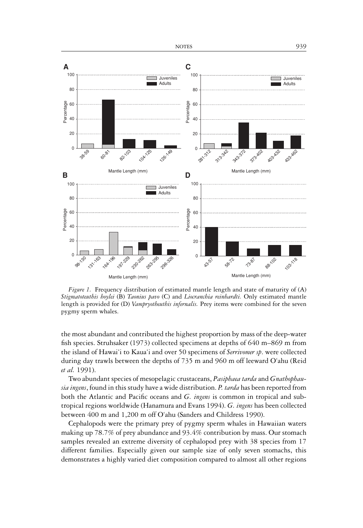

*Figure 1.* Frequency distribution of estimated mantle length and state of maturity of (A) *Stigmatoteuthis hoylei* (B) *Taonius pavo* (C) and *Liocranchia reinhardti.* Only estimated mantle length is provided for (D) *Vampryotheuthis infernalis.* Prey items were combined for the seven pygmy sperm whales.

the most abundant and contributed the highest proportion by mass of the deep-water fish species. Struhsaker (1973) collected specimens at depths of 640 m–869 m from the island of Hawai'i to Kaua'i and over 50 specimens of *Serrivomer sp*. were collected during day trawls between the depths of 735 m and 960 m off leeward O'ahu (Reid *et al.* 1991).

Two abundant species of mesopelagic crustaceans, *Pasiphaea tarda* and *Gnathophausia ingens*, found in this study have a wide distribution. *P. tarda* has been reported from both the Atlantic and Pacific oceans and *G. ingens* is common in tropical and subtropical regions worldwide (Hanamura and Evans 1994). *G. ingens* has been collected between 400 m and 1,200 m off O'ahu (Sanders and Childress 1990).

Cephalopods were the primary prey of pygmy sperm whales in Hawaiian waters making up 78.7% of prey abundance and 93.4% contribution by mass. Our stomach samples revealed an extreme diversity of cephalopod prey with 38 species from 17 different families. Especially given our sample size of only seven stomachs, this demonstrates a highly varied diet composition compared to almost all other regions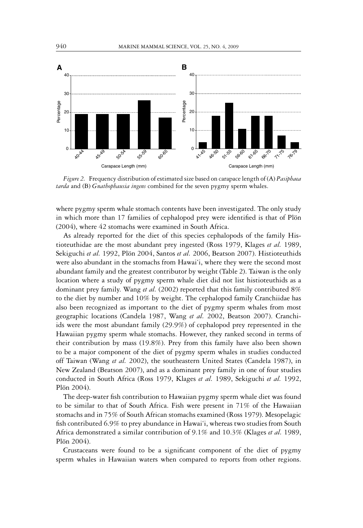

*Figure 2.* Frequency distribution of estimated size based on carapace length of (A) *Pasiphaea tarda* and (B) *Gnathophausia ingens* combined for the seven pygmy sperm whales.

where pygmy sperm whale stomach contents have been investigated. The only study in which more than 17 families of cephalopod prey were identified is that of Plön (2004), where 42 stomachs were examined in South Africa.

As already reported for the diet of this species cephalopods of the family Histioteuthidae are the most abundant prey ingested (Ross 1979, Klages *et al.* 1989, Sekiguchi *et al.* 1992, Plön 2004, Santos *et al.* 2006, Beatson 2007). Histioteuthids were also abundant in the stomachs from Hawai'i, where they were the second most abundant family and the greatest contributor by weight (Table 2). Taiwan is the only location where a study of pygmy sperm whale diet did not list histioteuthids as a dominant prey family. Wang *et al.* (2002) reported that this family contributed 8% to the diet by number and 10% by weight. The cephalopod family Cranchiidae has also been recognized as important to the diet of pygmy sperm whales from most geographic locations (Candela 1987, Wang *et al.* 2002, Beatson 2007). Cranchiids were the most abundant family (29.9%) of cephalopod prey represented in the Hawaiian pygmy sperm whale stomachs. However, they ranked second in terms of their contribution by mass (19.8%). Prey from this family have also been shown to be a major component of the diet of pygmy sperm whales in studies conducted off Taiwan (Wang *et al.* 2002), the southeastern United States (Candela 1987), in New Zealand (Beatson 2007), and as a dominant prey family in one of four studies conducted in South Africa (Ross 1979, Klages *et al.* 1989, Sekiguchi *et al.* 1992, Plön  $2004$ ).

The deep-water fish contribution to Hawaiian pygmy sperm whale diet was found to be similar to that of South Africa. Fish were present in 71% of the Hawaiian stomachs and in 75% of South African stomachs examined (Ross 1979). Mesopelagic fish contributed 6.9% to prey abundance in Hawai'i, whereas two studies from South Africa demonstrated a similar contribution of 9.1% and 10.3% (Klages *et al.* 1989, Plön 2004).

Crustaceans were found to be a significant component of the diet of pygmy sperm whales in Hawaiian waters when compared to reports from other regions.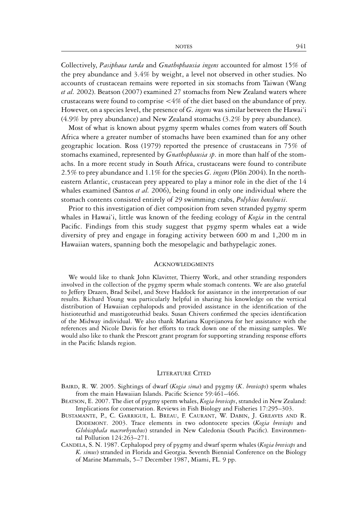Collectively, *Pasiphaea tarda* and *Gnathophausia ingens* accounted for almost 15% of the prey abundance and 3.4% by weight, a level not observed in other studies. No accounts of crustacean remains were reported in six stomachs from Taiwan (Wang *et al.* 2002). Beatson (2007) examined 27 stomachs from New Zealand waters where crustaceans were found to comprise <4% of the diet based on the abundance of prey. However, on a species level, the presence of *G. ingens* was similar between the Hawai'i (4.9% by prey abundance) and New Zealand stomachs (3.2% by prey abundance).

Most of what is known about pygmy sperm whales comes from waters off South Africa where a greater number of stomachs have been examined than for any other geographic location. Ross (1979) reported the presence of crustaceans in 75% of stomachs examined, represented by *Gnathophausia sp*. in more than half of the stomachs. In a more recent study in South Africa, crustaceans were found to contribute 2.5% to prey abundance and 1.1% for the species *G. ingens* (Plön 2004). In the northeastern Atlantic, crustacean prey appeared to play a minor role in the diet of the 14 whales examined (Santos *et al.* 2006), being found in only one individual where the stomach contents consisted entirely of 29 swimming crabs, *Polybius henslowii*.

Prior to this investigation of diet composition from seven stranded pygmy sperm whales in Hawai'i, little was known of the feeding ecology of *Kogia* in the central Pacific. Findings from this study suggest that pygmy sperm whales eat a wide diversity of prey and engage in foraging activity between 600 m and 1,200 m in Hawaiian waters, spanning both the mesopelagic and bathypelagic zones.

#### ACKNOWLEDGMENTS

We would like to thank John Klavitter, Thierry Work, and other stranding responders involved in the collection of the pygmy sperm whale stomach contents. We are also grateful to Jeffery Drazen, Brad Seibel, and Steve Haddock for assistance in the interpretation of our results. Richard Young was particularly helpful in sharing his knowledge on the vertical distribution of Hawaiian cephalopods and provided assistance in the identification of the histioteuthid and mastigoteuthid beaks. Susan Chivers confirmed the species identification of the Midway individual. We also thank Mariana Kuprijanova for her assistance with the references and Nicole Davis for her efforts to track down one of the missing samples. We would also like to thank the Prescott grant program for supporting stranding response efforts in the Pacific Islands region.

#### LITERATURE CITED

- BAIRD, R. W. 2005. Sightings of dwarf (*Kogia sima*) and pygmy (*K*. *breviceps*) sperm whales from the main Hawaiian Islands. Pacific Science 59:461–466.
- BEATSON, E. 2007. The diet of pygmy sperm whales, *Kogia breviceps*, stranded in New Zealand: Implications for conservation. Reviews in Fish Biology and Fisheries 17:295–303.
- BUSTAMANTE, P., C. GARRIGUE, L. BREAU, F. CAURANT, W. DABIN, J. GREAVES AND R. DODEMONT. 2003. Trace elements in two odontocete species (*Kogia breviceps* and *Globicephala macrorhynchus*) stranded in New Caledonia (South Pacific). Environmental Pollution 124:263–271.
- CANDELA, S. N. 1987. Cephalopod prey of pygmy and dwarf sperm whales (*Kogia breviceps* and *K. simus*) stranded in Florida and Georgia. Seventh Biennial Conference on the Biology of Marine Mammals, 5–7 December 1987, Miami, FL. 9 pp.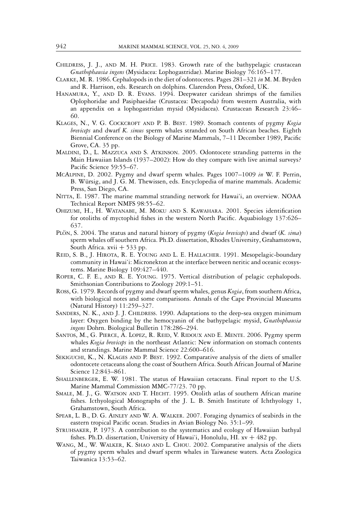- CHILDRESS, J. J., AND M. H. PRICE. 1983. Growth rate of the bathypelagic crustacean *Gnathophausia ingens* (Mysidacea: Lophogastridae). Marine Biology 76:165–177.
- CLARKE, M. R. 1986. Cephalopods in the diet of odontocetes. Pages 281–321 *in* M. M. Bryden and R. Harrison, eds. Research on dolphins. Clarendon Press, Oxford, UK.
- HANAMURA, Y., AND D. R. EVANS. 1994. Deepwater caridean shrimps of the families Oplophoridae and Pasiphaeidae (Crustacea: Decapoda) from western Australia, with an appendix on a lophogastridan mysid (Mysidacea). Crustacean Research 23:46– 60.
- KLAGES, N., V. G. COCKCROFT AND P. B. BEST. 1989. Stomach contents of pygmy *Kogia breviceps* and dwarf *K. simus* sperm whales stranded on South African beaches. Eighth Biennial Conference on the Biology of Marine Mammals, 7–11 December 1989, Pacific Grove, CA. 35 pp.
- MALDINI, D., L. MAZZUCA AND S. ATKINSON. 2005. Odontocete stranding patterns in the Main Hawaiian Islands (1937–2002): How do they compare with live animal surveys? Pacific Science 59:55–67.
- MCALPINE, D. 2002. Pygmy and dwarf sperm whales. Pages 1007–1009 *in* W. F. Perrin, B. Würsig, and J. G. M. Thewissen, eds. Encyclopedia of marine mammals. Academic Press, San Diego, CA.
- NITTA, E. 1987. The marine mammal stranding network for Hawai'i, an overview. NOAA Technical Report NMFS 98:55–62.
- OHIZUMI, H., H. WATANABE, M. MOKU AND S. KAWAHARA. 2001. Species identification for otoliths of myctophid fishes in the western North Pacific. Aquabiology 137:626– 637.
- PLÖN, S. 2004. The status and natural history of pygmy (*Kogia breviceps*) and dwarf (*K. sima*) sperm whales off southern Africa. Ph.D. dissertation, Rhodes University, Grahamstown, South Africa.  $xvi + 533$  pp.
- REID, S. B., J. HIROTA, R. E. YOUNG AND L. E. HALLACHER. 1991. Mesopelagic-boundary community in Hawai'i: Micronekton at the interface between neritic and oceanic ecosystems. Marine Biology 109:427–440.
- ROPER, C. F. E., AND R. E. YOUNG. 1975. Vertical distribution of pelagic cephalopods. Smithsonian Contributions to Zoology 209:1–51.
- ROSS, G. 1979. Records of pygmy and dwarf sperm whales, genus *Kogia*, from southern Africa, with biological notes and some comparisons. Annals of the Cape Provincial Museums (Natural History) 11:259–327.
- SANDERS, N. K., AND J. J. CHILDRESS. 1990. Adaptations to the deep-sea oxygen minimum layer: Oxygen binding by the hemocyanin of the bathypelagic mysid, *Gnathophausia ingens* Dohrn. Biological Bulletin 178:286–294.
- SANTOS, M., G. PIERCE, A. LOPEZ, R. REID, V. RIDOUX AND E. MENTE. 2006. Pygmy sperm whales *Kogia breviceps* in the northeast Atlantic: New information on stomach contents and strandings. Marine Mammal Science 22:600–616.
- SEKIGUCHI, K., N. KLAGES AND P. BEST. 1992. Comparative analysis of the diets of smaller odontocete cetaceans along the coast of Southern Africa. South African Journal of Marine Science 12:843–861.
- SHALLENBERGER, E. W. 1981. The status of Hawaiian cetaceans. Final report to the U.S. Marine Mammal Commission MMC-77/23. 70 pp.
- SMALE, M. J., G. WATSON AND T. HECHT. 1995. Otolith atlas of southern African marine fishes. Icthyological Monographs of the J. L. B. Smith Institute of Ichthyology 1, Grahamstown, South Africa.
- SPEAR, L. B., D. G. AINLEY AND W. A. WALKER. 2007. Foraging dynamics of seabirds in the eastern tropical Pacific ocean. Studies in Avian Biology No. 35:1–99.
- STRUHSAKER, P. 1973. A contribution to the systematics and ecology of Hawaiian bathyal fishes. Ph.D. dissertation, University of Hawai'i, Honolulu, HI.  $xv + 482$  pp.
- WANG, M., W. WALKER, K. SHAO AND L. CHOU. 2002. Comparative analysis of the diets of pygmy sperm whales and dwarf sperm whales in Taiwanese waters. Acta Zoologica Taiwanica 13:53–62.